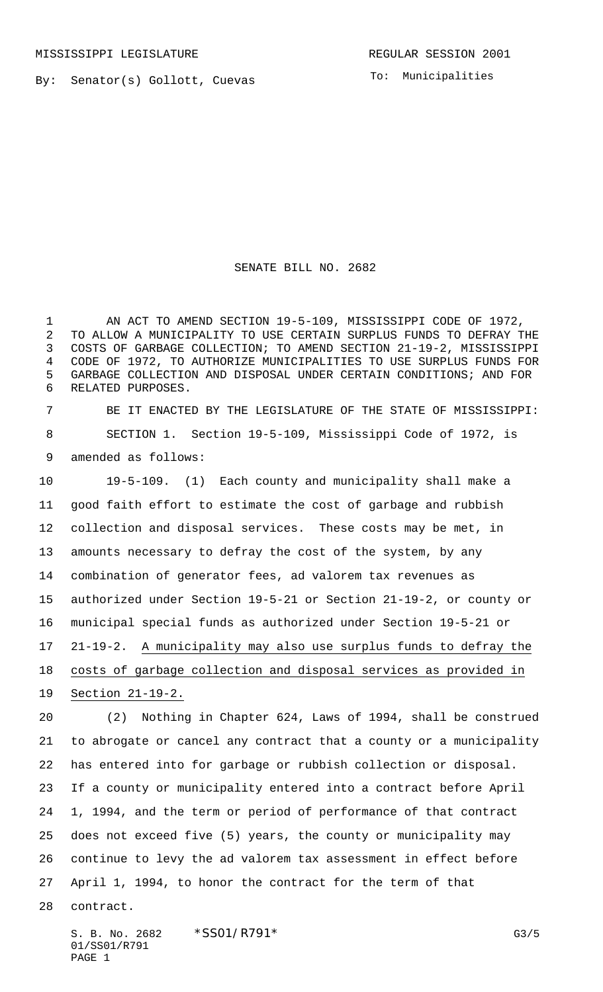By: Senator(s) Gollott, Cuevas

To: Municipalities

SENATE BILL NO. 2682

1 AN ACT TO AMEND SECTION 19-5-109, MISSISSIPPI CODE OF 1972, TO ALLOW A MUNICIPALITY TO USE CERTAIN SURPLUS FUNDS TO DEFRAY THE COSTS OF GARBAGE COLLECTION; TO AMEND SECTION 21-19-2, MISSISSIPPI CODE OF 1972, TO AUTHORIZE MUNICIPALITIES TO USE SURPLUS FUNDS FOR GARBAGE COLLECTION AND DISPOSAL UNDER CERTAIN CONDITIONS; AND FOR RELATED PURPOSES.

 BE IT ENACTED BY THE LEGISLATURE OF THE STATE OF MISSISSIPPI: SECTION 1. Section 19-5-109, Mississippi Code of 1972, is amended as follows:

 19-5-109. (1) Each county and municipality shall make a good faith effort to estimate the cost of garbage and rubbish collection and disposal services. These costs may be met, in amounts necessary to defray the cost of the system, by any combination of generator fees, ad valorem tax revenues as authorized under Section 19-5-21 or Section 21-19-2, or county or municipal special funds as authorized under Section 19-5-21 or 21-19-2. A municipality may also use surplus funds to defray the costs of garbage collection and disposal services as provided in Section 21-19-2.

 (2) Nothing in Chapter 624, Laws of 1994, shall be construed to abrogate or cancel any contract that a county or a municipality has entered into for garbage or rubbish collection or disposal. If a county or municipality entered into a contract before April 1, 1994, and the term or period of performance of that contract does not exceed five (5) years, the county or municipality may continue to levy the ad valorem tax assessment in effect before April 1, 1994, to honor the contract for the term of that contract.

S. B. No. 2682 \* SSO1/R791\* G3/5 01/SS01/R791 PAGE 1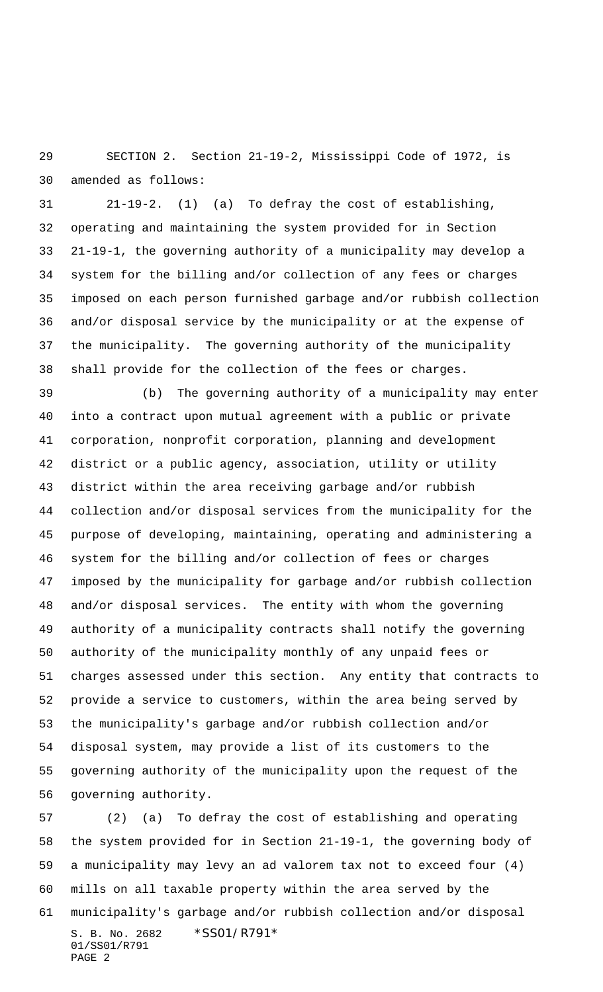SECTION 2. Section 21-19-2, Mississippi Code of 1972, is amended as follows:

 21-19-2. (1) (a) To defray the cost of establishing, operating and maintaining the system provided for in Section 21-19-1, the governing authority of a municipality may develop a system for the billing and/or collection of any fees or charges imposed on each person furnished garbage and/or rubbish collection and/or disposal service by the municipality or at the expense of the municipality. The governing authority of the municipality shall provide for the collection of the fees or charges.

 (b) The governing authority of a municipality may enter into a contract upon mutual agreement with a public or private corporation, nonprofit corporation, planning and development district or a public agency, association, utility or utility district within the area receiving garbage and/or rubbish collection and/or disposal services from the municipality for the purpose of developing, maintaining, operating and administering a system for the billing and/or collection of fees or charges imposed by the municipality for garbage and/or rubbish collection and/or disposal services. The entity with whom the governing authority of a municipality contracts shall notify the governing authority of the municipality monthly of any unpaid fees or charges assessed under this section. Any entity that contracts to provide a service to customers, within the area being served by the municipality's garbage and/or rubbish collection and/or disposal system, may provide a list of its customers to the governing authority of the municipality upon the request of the governing authority.

S. B. No. 2682 \* SS01/R791\* 01/SS01/R791 PAGE 2 (2) (a) To defray the cost of establishing and operating the system provided for in Section 21-19-1, the governing body of a municipality may levy an ad valorem tax not to exceed four (4) mills on all taxable property within the area served by the municipality's garbage and/or rubbish collection and/or disposal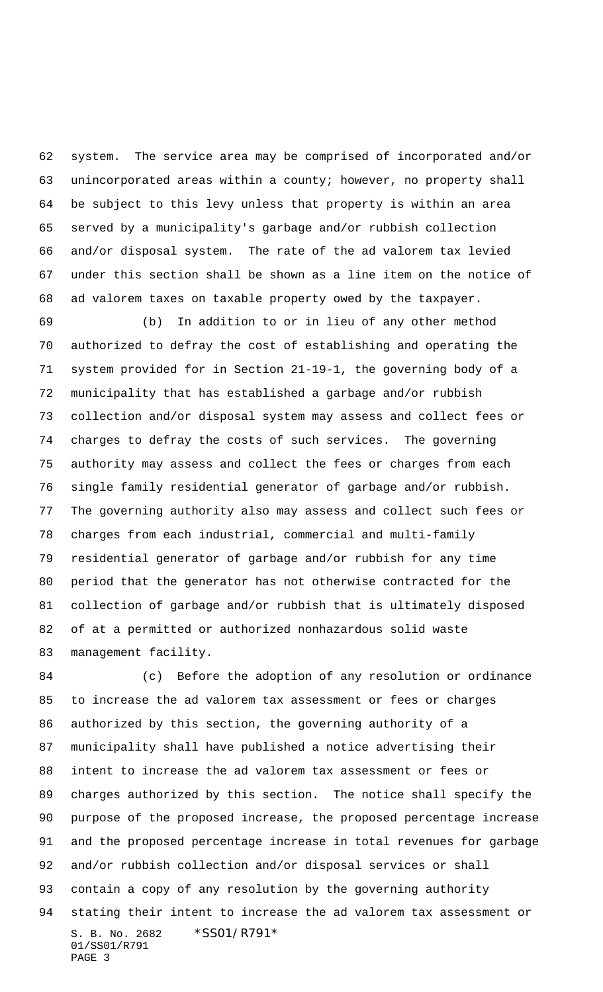system. The service area may be comprised of incorporated and/or unincorporated areas within a county; however, no property shall be subject to this levy unless that property is within an area served by a municipality's garbage and/or rubbish collection and/or disposal system. The rate of the ad valorem tax levied under this section shall be shown as a line item on the notice of ad valorem taxes on taxable property owed by the taxpayer.

 (b) In addition to or in lieu of any other method authorized to defray the cost of establishing and operating the system provided for in Section 21-19-1, the governing body of a municipality that has established a garbage and/or rubbish collection and/or disposal system may assess and collect fees or charges to defray the costs of such services. The governing authority may assess and collect the fees or charges from each single family residential generator of garbage and/or rubbish. The governing authority also may assess and collect such fees or charges from each industrial, commercial and multi-family residential generator of garbage and/or rubbish for any time period that the generator has not otherwise contracted for the collection of garbage and/or rubbish that is ultimately disposed of at a permitted or authorized nonhazardous solid waste management facility.

S. B. No. 2682 \* SS01/R791\* 01/SS01/R791 PAGE 3 (c) Before the adoption of any resolution or ordinance to increase the ad valorem tax assessment or fees or charges authorized by this section, the governing authority of a municipality shall have published a notice advertising their intent to increase the ad valorem tax assessment or fees or charges authorized by this section. The notice shall specify the purpose of the proposed increase, the proposed percentage increase and the proposed percentage increase in total revenues for garbage and/or rubbish collection and/or disposal services or shall contain a copy of any resolution by the governing authority stating their intent to increase the ad valorem tax assessment or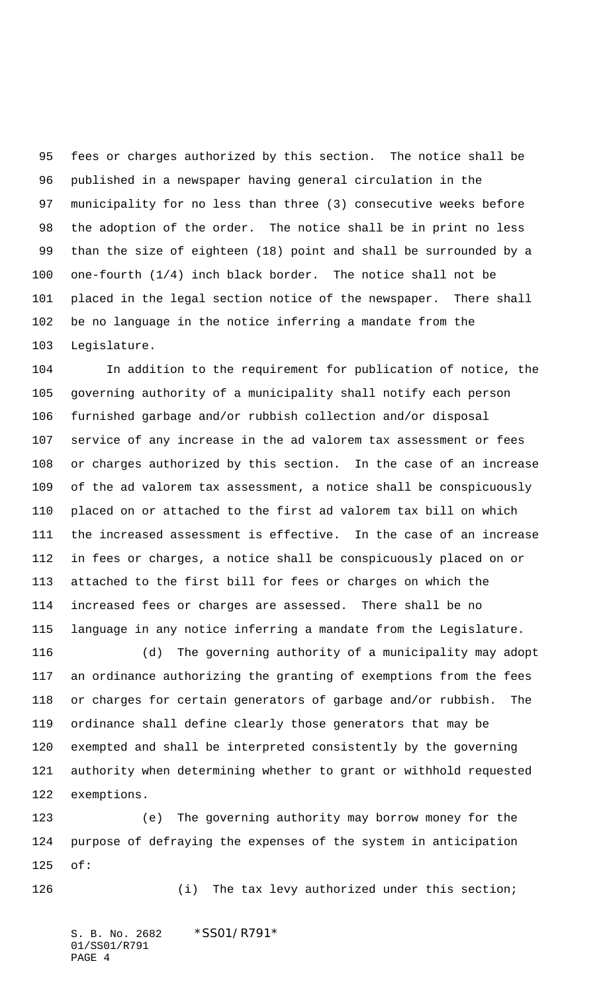fees or charges authorized by this section. The notice shall be published in a newspaper having general circulation in the municipality for no less than three (3) consecutive weeks before the adoption of the order. The notice shall be in print no less than the size of eighteen (18) point and shall be surrounded by a one-fourth (1/4) inch black border. The notice shall not be placed in the legal section notice of the newspaper. There shall be no language in the notice inferring a mandate from the Legislature.

 In addition to the requirement for publication of notice, the governing authority of a municipality shall notify each person furnished garbage and/or rubbish collection and/or disposal service of any increase in the ad valorem tax assessment or fees or charges authorized by this section. In the case of an increase of the ad valorem tax assessment, a notice shall be conspicuously placed on or attached to the first ad valorem tax bill on which the increased assessment is effective. In the case of an increase in fees or charges, a notice shall be conspicuously placed on or attached to the first bill for fees or charges on which the increased fees or charges are assessed. There shall be no language in any notice inferring a mandate from the Legislature.

 (d) The governing authority of a municipality may adopt an ordinance authorizing the granting of exemptions from the fees or charges for certain generators of garbage and/or rubbish. The ordinance shall define clearly those generators that may be exempted and shall be interpreted consistently by the governing authority when determining whether to grant or withhold requested exemptions.

 (e) The governing authority may borrow money for the purpose of defraying the expenses of the system in anticipation of:

(i) The tax levy authorized under this section;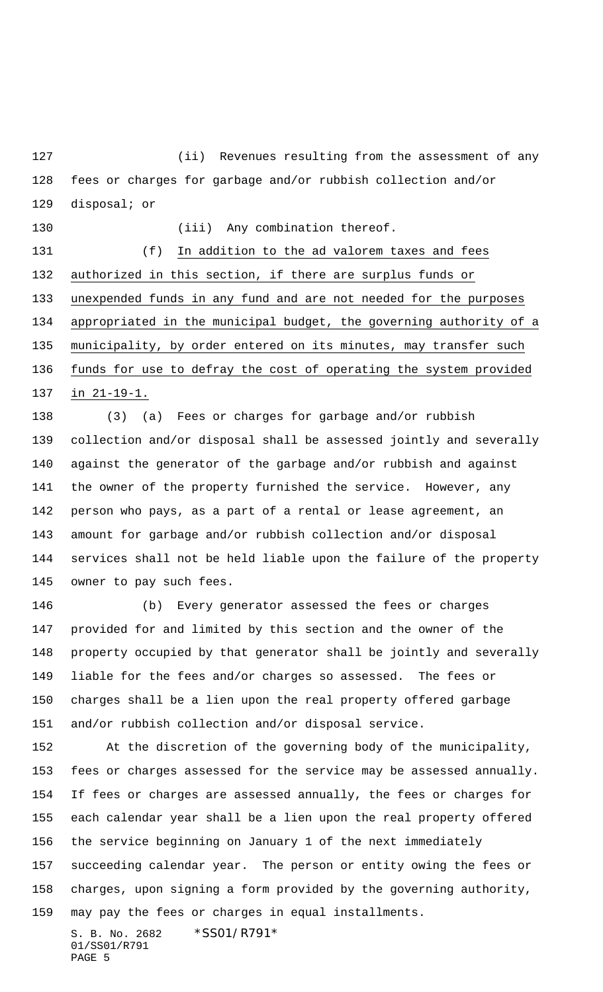127 (ii) Revenues resulting from the assessment of any fees or charges for garbage and/or rubbish collection and/or disposal; or

130 (iii) Any combination thereof.

 (f) In addition to the ad valorem taxes and fees authorized in this section, if there are surplus funds or unexpended funds in any fund and are not needed for the purposes appropriated in the municipal budget, the governing authority of a municipality, by order entered on its minutes, may transfer such funds for use to defray the cost of operating the system provided in 21-19-1.

 (3) (a) Fees or charges for garbage and/or rubbish collection and/or disposal shall be assessed jointly and severally against the generator of the garbage and/or rubbish and against the owner of the property furnished the service. However, any person who pays, as a part of a rental or lease agreement, an amount for garbage and/or rubbish collection and/or disposal services shall not be held liable upon the failure of the property owner to pay such fees.

 (b) Every generator assessed the fees or charges provided for and limited by this section and the owner of the property occupied by that generator shall be jointly and severally liable for the fees and/or charges so assessed. The fees or charges shall be a lien upon the real property offered garbage and/or rubbish collection and/or disposal service.

 At the discretion of the governing body of the municipality, fees or charges assessed for the service may be assessed annually. If fees or charges are assessed annually, the fees or charges for each calendar year shall be a lien upon the real property offered the service beginning on January 1 of the next immediately succeeding calendar year. The person or entity owing the fees or charges, upon signing a form provided by the governing authority, may pay the fees or charges in equal installments.

S. B. No. 2682 \* SS01/R791\* 01/SS01/R791 PAGE 5